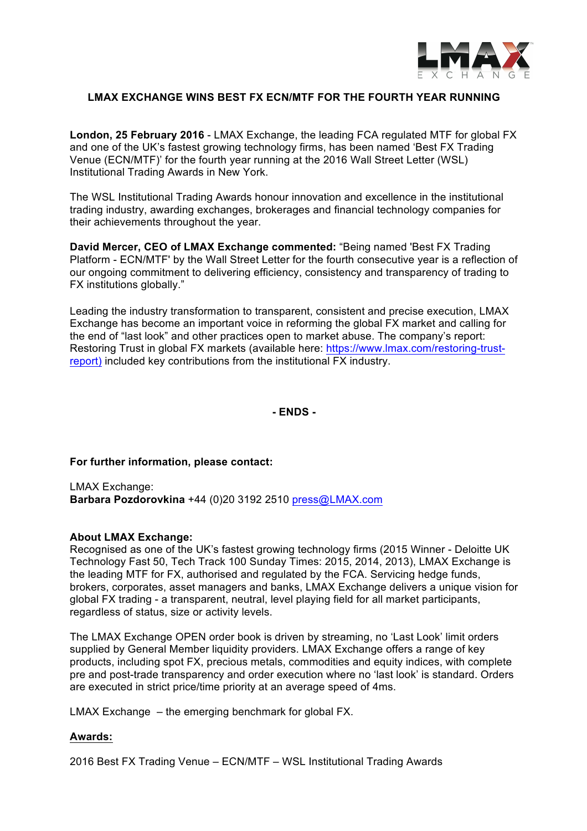

# **LMAX EXCHANGE WINS BEST FX ECN/MTF FOR THE FOURTH YEAR RUNNING**

**London, 25 February 2016** - LMAX Exchange, the leading FCA regulated MTF for global FX and one of the UK's fastest growing technology firms, has been named 'Best FX Trading Venue (ECN/MTF)' for the fourth year running at the 2016 Wall Street Letter (WSL) Institutional Trading Awards in New York.

The WSL Institutional Trading Awards honour innovation and excellence in the institutional trading industry, awarding exchanges, brokerages and financial technology companies for their achievements throughout the year.

**David Mercer, CEO of LMAX Exchange commented:** "Being named 'Best FX Trading Platform - ECN/MTF' by the Wall Street Letter for the fourth consecutive year is a reflection of our ongoing commitment to delivering efficiency, consistency and transparency of trading to FX institutions globally."

Leading the industry transformation to transparent, consistent and precise execution, LMAX Exchange has become an important voice in reforming the global FX market and calling for the end of "last look" and other practices open to market abuse. The company's report: Restoring Trust in global FX markets (available here: https://www.lmax.com/restoring-trustreport) included key contributions from the institutional FX industry.

**- ENDS -**

## **For further information, please contact:**

LMAX Exchange: **Barbara Pozdorovkina** +44 (0)20 3192 2510 press@LMAX.com

### **About LMAX Exchange:**

Recognised as one of the UK's fastest growing technology firms (2015 Winner - Deloitte UK Technology Fast 50, Tech Track 100 Sunday Times: 2015, 2014, 2013), LMAX Exchange is the leading MTF for FX, authorised and regulated by the FCA. Servicing hedge funds, brokers, corporates, asset managers and banks, LMAX Exchange delivers a unique vision for global FX trading - a transparent, neutral, level playing field for all market participants, regardless of status, size or activity levels.

The LMAX Exchange OPEN order book is driven by streaming, no 'Last Look' limit orders supplied by General Member liquidity providers. LMAX Exchange offers a range of key products, including spot FX, precious metals, commodities and equity indices, with complete pre and post-trade transparency and order execution where no 'last look' is standard. Orders are executed in strict price/time priority at an average speed of 4ms.

LMAX Exchange – the emerging benchmark for global FX.

## **Awards:**

2016 Best FX Trading Venue – ECN/MTF – WSL Institutional Trading Awards